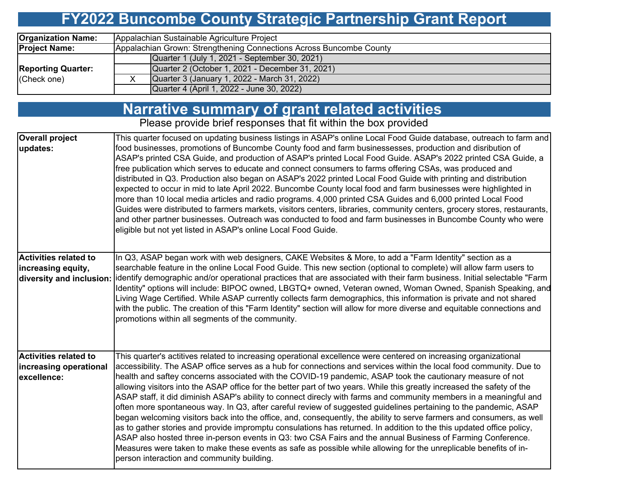#### **FY2022 Buncombe County Strategic Partnership Grant Report**

| <b>Organization Name:</b> | Appalachian Sustainable Agriculture Project                         |  |  |  |  |  |  |
|---------------------------|---------------------------------------------------------------------|--|--|--|--|--|--|
| <b>Project Name:</b>      | Appalachian Grown: Strengthening Connections Across Buncombe County |  |  |  |  |  |  |
|                           | Quarter 1 (July 1, 2021 - September 30, 2021)                       |  |  |  |  |  |  |
| <b>Reporting Quarter:</b> | Quarter 2 (October 1, 2021 - December 31, 2021)                     |  |  |  |  |  |  |
| (Check one)               | Quarter 3 (January 1, 2022 - March 31, 2022)                        |  |  |  |  |  |  |
|                           | Quarter 4 (April 1, 2022 - June 30, 2022)                           |  |  |  |  |  |  |

#### **Narrative summary of grant related activities**

Please provide brief responses that fit within the box provided

| <b>Overall project</b><br>updates:                                             | This quarter focused on updating business listings in ASAP's online Local Food Guide database, outreach to farm and<br>food businesses, promotions of Buncombe County food and farm businessesses, production and disribution of<br>ASAP's printed CSA Guide, and production of ASAP's printed Local Food Guide. ASAP's 2022 printed CSA Guide, a<br>free publication which serves to educate and connect consumers to farms offering CSAs, was produced and<br>distributed in Q3. Production also began on ASAP's 2022 printed Local Food Guide with printing and distribution<br>expected to occur in mid to late April 2022. Buncombe County local food and farm businesses were highlighted in<br>more than 10 local media articles and radio programs. 4,000 printed CSA Guides and 6,000 printed Local Food<br>Guides were distributed to farmers markets, visitors centers, libraries, community centers, grocery stores, restaurants,<br>and other partner businesses. Outreach was conducted to food and farm businesses in Buncombe County who were                                                                                                                                                                                               |
|--------------------------------------------------------------------------------|-------------------------------------------------------------------------------------------------------------------------------------------------------------------------------------------------------------------------------------------------------------------------------------------------------------------------------------------------------------------------------------------------------------------------------------------------------------------------------------------------------------------------------------------------------------------------------------------------------------------------------------------------------------------------------------------------------------------------------------------------------------------------------------------------------------------------------------------------------------------------------------------------------------------------------------------------------------------------------------------------------------------------------------------------------------------------------------------------------------------------------------------------------------------------------------------------------------------------------------------------------------|
|                                                                                | eligible but not yet listed in ASAP's online Local Food Guide.                                                                                                                                                                                                                                                                                                                                                                                                                                                                                                                                                                                                                                                                                                                                                                                                                                                                                                                                                                                                                                                                                                                                                                                              |
| <b>Activities related to</b><br>increasing equity,<br>diversity and inclusion: | In Q3, ASAP began work with web designers, CAKE Websites & More, to add a "Farm Identity" section as a<br>searchable feature in the online Local Food Guide. This new section (optional to complete) will allow farm users to<br>jidentify demographic and/or operational practices that are associated with their farm business. Initial selectable "Farm<br>Identity" options will include: BIPOC owned, LBGTQ+ owned, Veteran owned, Woman Owned, Spanish Speaking, and<br>Living Wage Certified. While ASAP currently collects farm demographics, this information is private and not shared<br>with the public. The creation of this "Farm Identity" section will allow for more diverse and equitable connections and<br>promotions within all segments of the community.                                                                                                                                                                                                                                                                                                                                                                                                                                                                             |
| <b>Activities related to</b><br>increasing operational<br>excellence:          | This quarter's actitives related to increasing operational excellence were centered on increasing organizational<br>accessibility. The ASAP office serves as a hub for connections and services within the local food community. Due to<br>health and saftey concerns associated with the COVID-19 pandemic, ASAP took the cautionary measure of not<br>allowing visitors into the ASAP office for the better part of two years. While this greatly increased the safety of the<br>ASAP staff, it did diminish ASAP's ability to connect direcly with farms and community members in a meaningful and<br>often more spontaneous way. In Q3, after careful review of suggested guidelines pertaining to the pandemic, ASAP<br>began welcoming visitors back into the office, and, consequently, the ability to serve farmers and consumers, as well<br>as to gather stories and provide impromptu consulations has returned. In addition to the this updated office policy,<br>ASAP also hosted three in-person events in Q3: two CSA Fairs and the annual Business of Farming Conference.<br>Measures were taken to make these events as safe as possible while allowing for the unreplicable benefits of in-<br>person interaction and community building. |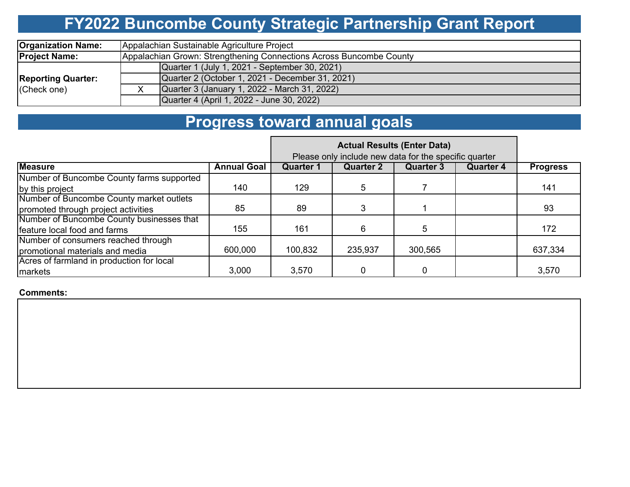# **FY2022 Buncombe County Strategic Partnership Grant Report**

| <b>Organization Name:</b> | Appalachian Sustainable Agriculture Project                         |  |  |  |  |  |  |  |
|---------------------------|---------------------------------------------------------------------|--|--|--|--|--|--|--|
| <b>Project Name:</b>      | Appalachian Grown: Strengthening Connections Across Buncombe County |  |  |  |  |  |  |  |
|                           | Quarter 1 (July 1, 2021 - September 30, 2021)                       |  |  |  |  |  |  |  |
| <b>Reporting Quarter:</b> | Quarter 2 (October 1, 2021 - December 31, 2021)                     |  |  |  |  |  |  |  |
| (Check one)               | Quarter 3 (January 1, 2022 - March 31, 2022)                        |  |  |  |  |  |  |  |
|                           | Quarter 4 (April 1, 2022 - June 30, 2022)                           |  |  |  |  |  |  |  |

## **Progress toward annual goals**

|                                           | Please only include new data for the specific quarter |                  |                  |                  |                  |                 |
|-------------------------------------------|-------------------------------------------------------|------------------|------------------|------------------|------------------|-----------------|
| <b>Measure</b>                            | <b>Annual Goal</b>                                    | <b>Quarter 1</b> | <b>Quarter 2</b> | <b>Quarter 3</b> | <b>Quarter 4</b> | <b>Progress</b> |
| Number of Buncombe County farms supported |                                                       |                  |                  |                  |                  |                 |
| by this project                           | 140                                                   | 129              | 5                |                  |                  | 141             |
| Number of Buncombe County market outlets  |                                                       |                  |                  |                  |                  |                 |
| promoted through project activities       | 85                                                    | 89               |                  |                  |                  | 93              |
| Number of Buncombe County businesses that |                                                       |                  |                  |                  |                  |                 |
| feature local food and farms              | 155                                                   | 161              | 6                | 5                |                  | 172             |
| Number of consumers reached through       |                                                       |                  |                  |                  |                  |                 |
| promotional materials and media           | 600,000                                               | 100,832          | 235,937          | 300,565          |                  | 637,334         |
| Acres of farmland in production for local |                                                       |                  |                  |                  |                  |                 |
| 3,000<br>markets                          |                                                       | 3,570            |                  |                  |                  | 3,570           |

**Comments:**